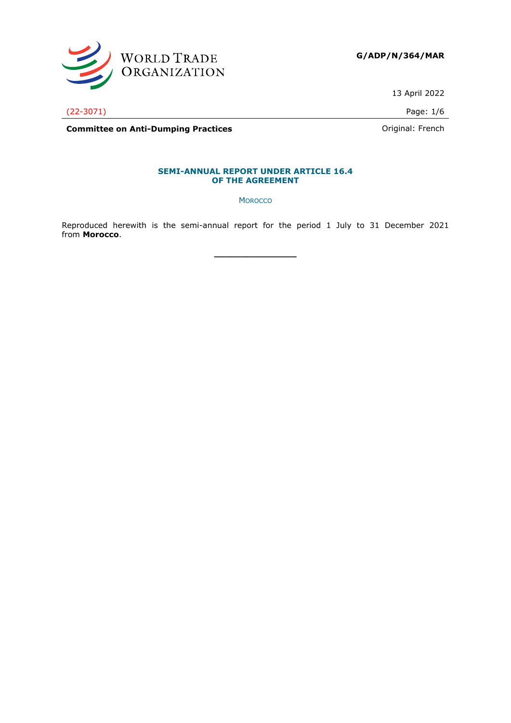

**G/ADP/N/364/MAR**

13 April 2022

(22-3071) Page: 1/6

**Committee on Anti-Dumping Practices Committee on Anti-Dumping Practices Committee on Anti-Dumping Practices** 

### **SEMI-ANNUAL REPORT UNDER ARTICLE 16.4 OF THE AGREEMENT**

**MOROCCO** 

Reproduced herewith is the semi-annual report for the period 1 July to 31 December 2021 from **Morocco**.

**\_\_\_\_\_\_\_\_\_\_\_\_\_\_\_**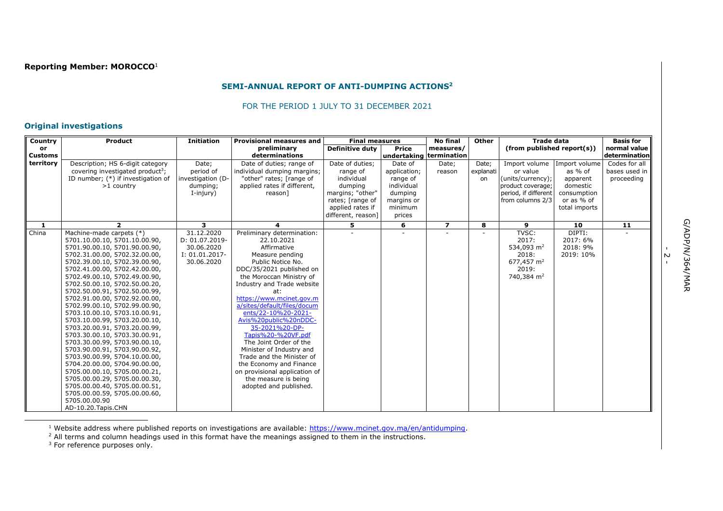# **Reporting Member: MOROCCO**<sup>1</sup>

### **SEMI-ANNUAL REPORT OF ANTI-DUMPING ACTIONS<sup>2</sup>**

#### FOR THE PERIOD 1 JULY TO 31 DECEMBER 2021

# **Original investigations**

| Country        | Product                                                        | <b>Initiation</b>            | <b>Provisional measures and</b>                | <b>Final measures</b>  |                         | <b>No final</b> | Other     | <b>Trade data</b>          |                    | <b>Basis for</b> |
|----------------|----------------------------------------------------------------|------------------------------|------------------------------------------------|------------------------|-------------------------|-----------------|-----------|----------------------------|--------------------|------------------|
| <b>or</b>      |                                                                |                              | preliminary                                    | <b>Definitive duty</b> | <b>Price</b>            | measures/       |           | (from published report(s)) |                    | normal value     |
| <b>Customs</b> |                                                                |                              | determinations                                 |                        | undertaking termination |                 |           |                            |                    | determination    |
| territory      | Description; HS 6-digit category                               | Date;                        | Date of duties; range of                       | Date of duties;        | Date of                 | Date;           | Date;     | Import volume              | Import volume      | Codes for all    |
|                | covering investigated product <sup>3</sup> ;                   | period of                    | individual dumping margins;                    | range of               | application;            | reason          | explanati | or value                   | as % of            | bases used in    |
|                | ID number; (*) if investigation of                             | investigation (D-            | "other" rates; [range of                       | individual             | range of                |                 | on        | (units/currency);          | apparent           | proceeding       |
|                | $>1$ country                                                   | dumping;                     | applied rates if different,                    | dumping                | individual              |                 |           | product coverage;          | domestic           |                  |
|                |                                                                | I-injury)                    | reason]                                        | margins; "other"       | dumping                 |                 |           | period, if different       | consumption        |                  |
|                |                                                                |                              |                                                | rates; [range of       | margins or              |                 |           | from columns 2/3           | or as % of         |                  |
|                |                                                                |                              |                                                | applied rates if       | minimum                 |                 |           |                            | total imports      |                  |
|                |                                                                |                              |                                                | different, reason]     | prices                  |                 |           |                            |                    |                  |
| 1              | $\overline{2}$                                                 | 3                            |                                                | 5.                     | 6                       | $\overline{z}$  | 8         | 9                          | 10                 | 11               |
| China          | Machine-made carpets (*)                                       | 31.12.2020<br>D: 01.07.2019- | Preliminary determination:<br>22.10.2021       |                        |                         |                 |           | TVSC:<br>2017:             | DIPTI:<br>2017: 6% |                  |
|                | 5701.10.00.10, 5701.10.00.90,<br>5701.90.00.10, 5701.90.00.90, | 30.06.2020                   | Affirmative                                    |                        |                         |                 |           | 534,093 m <sup>2</sup>     | 2018: 9%           |                  |
|                | 5702.31.00.00, 5702.32.00.00,                                  | I: 01.01.2017-               | Measure pending                                |                        |                         |                 |           | 2018:                      | 2019: 10%          |                  |
|                | 5702.39.00.10, 5702.39.00.90,                                  | 30.06.2020                   | Public Notice No.                              |                        |                         |                 |           | 677,457 m <sup>2</sup>     |                    |                  |
|                | 5702.41.00.00, 5702.42.00.00,                                  |                              | DDC/35/2021 published on                       |                        |                         |                 |           | 2019:                      |                    |                  |
|                | 5702.49.00.10, 5702.49.00.90,                                  |                              | the Moroccan Ministry of                       |                        |                         |                 |           | 740,384 m <sup>2</sup>     |                    |                  |
|                | 5702.50.00.10, 5702.50.00.20,                                  |                              | Industry and Trade website                     |                        |                         |                 |           |                            |                    |                  |
|                | 5702.50.00.91, 5702.50.00.99,                                  |                              | at:                                            |                        |                         |                 |           |                            |                    |                  |
|                | 5702.91.00.00, 5702.92.00.00,                                  |                              | https://www.mcinet.gov.m                       |                        |                         |                 |           |                            |                    |                  |
|                | 5702.99.00.10, 5702.99.00.90,                                  |                              | a/sites/default/files/docum                    |                        |                         |                 |           |                            |                    |                  |
|                | 5703.10.00.10, 5703.10.00.91,                                  |                              | ents/22-10%20-2021-                            |                        |                         |                 |           |                            |                    |                  |
|                | 5703.10.00.99, 5703.20.00.10,                                  |                              | Avis%20public%20nDDC-                          |                        |                         |                 |           |                            |                    |                  |
|                | 5703.20.00.91, 5703.20.00.99,                                  |                              | 35-2021%20-DP-                                 |                        |                         |                 |           |                            |                    |                  |
|                | 5703.30.00.10, 5703.30.00.91,                                  |                              | Tapis%20-%20VF.pdf                             |                        |                         |                 |           |                            |                    |                  |
|                | 5703.30.00.99, 5703.90.00.10,                                  |                              | The Joint Order of the                         |                        |                         |                 |           |                            |                    |                  |
|                | 5703.90.00.91, 5703.90.00.92,                                  |                              | Minister of Industry and                       |                        |                         |                 |           |                            |                    |                  |
|                | 5703.90.00.99, 5704.10.00.00,                                  |                              | Trade and the Minister of                      |                        |                         |                 |           |                            |                    |                  |
|                | 5704.20.00.00, 5704.90.00.00,                                  |                              | the Economy and Finance                        |                        |                         |                 |           |                            |                    |                  |
|                | 5705.00.00.10, 5705.00.00.21,                                  |                              | on provisional application of                  |                        |                         |                 |           |                            |                    |                  |
|                | 5705.00.00.29, 5705.00.00.30,                                  |                              | the measure is being<br>adopted and published. |                        |                         |                 |           |                            |                    |                  |
|                | 5705.00.00.40, 5705.00.00.51,<br>5705.00.00.59, 5705.00.00.60, |                              |                                                |                        |                         |                 |           |                            |                    |                  |
|                | 5705.00.00.90                                                  |                              |                                                |                        |                         |                 |           |                            |                    |                  |
|                | AD-10.20. Tapis. CHN                                           |                              |                                                |                        |                         |                 |           |                            |                    |                  |

<sup>1</sup> Website address where published reports on investigations are available: [https://www.mcinet.gov.ma/en/antidumping.](https://www.mcinet.gov.ma/en/antidumping)

 $<sup>2</sup>$  All terms and column headings used in this format have the meanings assigned to them in the instructions.</sup>

<sup>3</sup> For reference purposes only.

-<br>م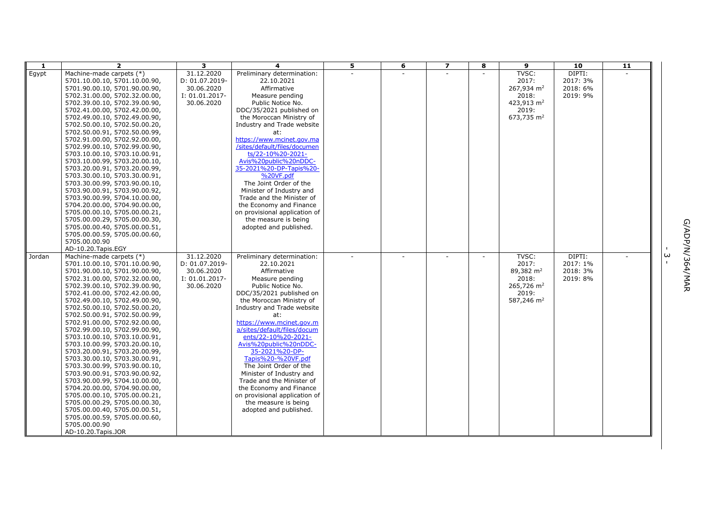| 1      | $\overline{2}$                                                 | $\overline{\mathbf{3}}$ | 4                                                         | $\overline{\mathbf{5}}$ | 6 | $\overline{ }$ | 8 | $\overline{9}$           | $\overline{10}$ | $\overline{11}$ |                             |
|--------|----------------------------------------------------------------|-------------------------|-----------------------------------------------------------|-------------------------|---|----------------|---|--------------------------|-----------------|-----------------|-----------------------------|
| Egypt  | Machine-made carpets (*)                                       | 31.12.2020              | Preliminary determination:                                |                         |   |                |   | TVSC:                    | DIPTI:          |                 |                             |
|        | 5701.10.00.10, 5701.10.00.90,                                  | D: 01.07.2019-          | 22.10.2021                                                |                         |   |                |   | 2017:                    | 2017: 3%        |                 |                             |
|        | 5701.90.00.10, 5701.90.00.90,                                  | 30.06.2020              | Affirmative                                               |                         |   |                |   | 267,934 $m2$             | 2018: 6%        |                 |                             |
|        | 5702.31.00.00, 5702.32.00.00,                                  | I: 01.01.2017-          | Measure pending                                           |                         |   |                |   | 2018:                    | 2019: 9%        |                 |                             |
|        | 5702.39.00.10, 5702.39.00.90,                                  | 30.06.2020              | Public Notice No.                                         |                         |   |                |   | 423,913 m <sup>2</sup>   |                 |                 |                             |
|        | 5702.41.00.00, 5702.42.00.00,                                  |                         | DDC/35/2021 published on                                  |                         |   |                |   | 2019:                    |                 |                 |                             |
|        | 5702.49.00.10, 5702.49.00.90,                                  |                         | the Moroccan Ministry of                                  |                         |   |                |   | 673,735 m <sup>2</sup>   |                 |                 |                             |
|        | 5702.50.00.10, 5702.50.00.20,                                  |                         | Industry and Trade website                                |                         |   |                |   |                          |                 |                 |                             |
|        | 5702.50.00.91, 5702.50.00.99,                                  |                         | at:                                                       |                         |   |                |   |                          |                 |                 |                             |
|        | 5702.91.00.00, 5702.92.00.00,                                  |                         | https://www.mcinet.gov.ma<br>/sites/default/files/documen |                         |   |                |   |                          |                 |                 |                             |
|        | 5702.99.00.10, 5702.99.00.90,                                  |                         | ts/22-10%20-2021-                                         |                         |   |                |   |                          |                 |                 |                             |
|        | 5703.10.00.10, 5703.10.00.91,                                  |                         | Avis%20public%20nDDC-                                     |                         |   |                |   |                          |                 |                 |                             |
|        | 5703.10.00.99, 5703.20.00.10,<br>5703.20.00.91, 5703.20.00.99, |                         | 35-2021%20-DP-Tapis%20-                                   |                         |   |                |   |                          |                 |                 |                             |
|        | 5703.30.00.10, 5703.30.00.91,                                  |                         | %20VF.pdf                                                 |                         |   |                |   |                          |                 |                 |                             |
|        | 5703.30.00.99, 5703.90.00.10,                                  |                         | The Joint Order of the                                    |                         |   |                |   |                          |                 |                 |                             |
|        | 5703.90.00.91, 5703.90.00.92,                                  |                         | Minister of Industry and                                  |                         |   |                |   |                          |                 |                 |                             |
|        | 5703.90.00.99, 5704.10.00.00,                                  |                         | Trade and the Minister of                                 |                         |   |                |   |                          |                 |                 |                             |
|        | 5704.20.00.00, 5704.90.00.00,                                  |                         | the Economy and Finance                                   |                         |   |                |   |                          |                 |                 |                             |
|        | 5705.00.00.10, 5705.00.00.21,                                  |                         | on provisional application of                             |                         |   |                |   |                          |                 |                 |                             |
|        | 5705.00.00.29, 5705.00.00.30,                                  |                         | the measure is being                                      |                         |   |                |   |                          |                 |                 |                             |
|        | 5705.00.00.40, 5705.00.00.51,                                  |                         | adopted and published.                                    |                         |   |                |   |                          |                 |                 |                             |
|        | 5705.00.00.59, 5705.00.00.60,                                  |                         |                                                           |                         |   |                |   |                          |                 |                 |                             |
|        | 5705.00.00.90                                                  |                         |                                                           |                         |   |                |   |                          |                 |                 |                             |
|        | AD-10.20. Tapis. EGY                                           |                         |                                                           |                         |   |                |   |                          |                 |                 |                             |
| Jordan | Machine-made carpets (*)                                       | 31.12.2020              | Preliminary determination:                                |                         |   |                |   | TVSC:                    | DIPTI:          |                 | G/ADP/N/364/MAR<br>$\omega$ |
|        | 5701.10.00.10, 5701.10.00.90,                                  | D: 01.07.2019-          | 22.10.2021                                                |                         |   |                |   | 2017:                    | 2017: 1%        |                 |                             |
|        | 5701.90.00.10, 5701.90.00.90,                                  | 30.06.2020              | Affirmative                                               |                         |   |                |   | 89,382 m <sup>2</sup>    | 2018: 3%        |                 |                             |
|        | 5702.31.00.00, 5702.32.00.00,                                  | I: 01.01.2017-          | Measure pending                                           |                         |   |                |   | 2018:                    | 2019: 8%        |                 |                             |
|        | 5702.39.00.10, 5702.39.00.90,                                  | 30.06.2020              | Public Notice No.                                         |                         |   |                |   | $265.726$ m <sup>2</sup> |                 |                 |                             |
|        | 5702.41.00.00, 5702.42.00.00,                                  |                         | DDC/35/2021 published on                                  |                         |   |                |   | 2019:                    |                 |                 |                             |
|        | 5702.49.00.10, 5702.49.00.90,                                  |                         | the Moroccan Ministry of                                  |                         |   |                |   | 587,246 m <sup>2</sup>   |                 |                 |                             |
|        | 5702.50.00.10, 5702.50.00.20,                                  |                         | Industry and Trade website                                |                         |   |                |   |                          |                 |                 |                             |
|        | 5702.50.00.91, 5702.50.00.99,                                  |                         | at:<br>https://www.mcinet.gov.m                           |                         |   |                |   |                          |                 |                 |                             |
|        | 5702.91.00.00, 5702.92.00.00,<br>5702.99.00.10, 5702.99.00.90, |                         | a/sites/default/files/docum                               |                         |   |                |   |                          |                 |                 |                             |
|        | 5703.10.00.10, 5703.10.00.91,                                  |                         | ents/22-10%20-2021-                                       |                         |   |                |   |                          |                 |                 |                             |
|        | 5703.10.00.99, 5703.20.00.10,                                  |                         | Avis%20public%20nDDC-                                     |                         |   |                |   |                          |                 |                 |                             |
|        | 5703.20.00.91, 5703.20.00.99,                                  |                         | 35-2021%20-DP-                                            |                         |   |                |   |                          |                 |                 |                             |
|        | 5703.30.00.10, 5703.30.00.91,                                  |                         | Tapis%20-%20VF.pdf                                        |                         |   |                |   |                          |                 |                 |                             |
|        | 5703.30.00.99, 5703.90.00.10,                                  |                         | The Joint Order of the                                    |                         |   |                |   |                          |                 |                 |                             |
|        | 5703.90.00.91, 5703.90.00.92,                                  |                         | Minister of Industry and                                  |                         |   |                |   |                          |                 |                 |                             |
|        | 5703.90.00.99, 5704.10.00.00,                                  |                         | Trade and the Minister of                                 |                         |   |                |   |                          |                 |                 |                             |
|        | 5704.20.00.00, 5704.90.00.00,                                  |                         | the Economy and Finance                                   |                         |   |                |   |                          |                 |                 |                             |
|        | 5705.00.00.10, 5705.00.00.21,                                  |                         | on provisional application of                             |                         |   |                |   |                          |                 |                 |                             |
|        | 5705.00.00.29, 5705.00.00.30,                                  |                         | the measure is being                                      |                         |   |                |   |                          |                 |                 |                             |
|        | 5705.00.00.40, 5705.00.00.51,                                  |                         | adopted and published.                                    |                         |   |                |   |                          |                 |                 |                             |
|        | 5705.00.00.59, 5705.00.00.60,                                  |                         |                                                           |                         |   |                |   |                          |                 |                 |                             |
|        | 5705.00.00.90                                                  |                         |                                                           |                         |   |                |   |                          |                 |                 |                             |
|        | AD-10.20. Tapis. JOR                                           |                         |                                                           |                         |   |                |   |                          |                 |                 |                             |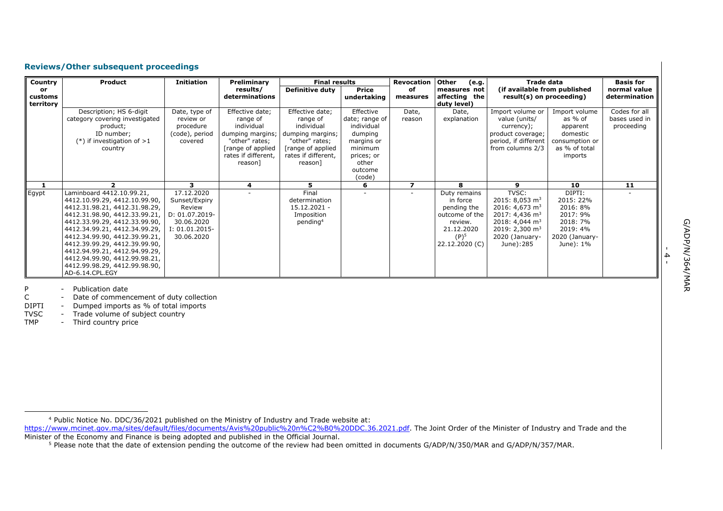# **Reviews/Other subsequent proceedings**

| Country       | Product                                                        | <b>Initiation</b> | Preliminary                               | <b>Final results</b>                     |                      | <b>Revocation</b> | Other<br>(e.g.                | <b>Trade data</b>                                        |                          | <b>Basis for</b>              |
|---------------|----------------------------------------------------------------|-------------------|-------------------------------------------|------------------------------------------|----------------------|-------------------|-------------------------------|----------------------------------------------------------|--------------------------|-------------------------------|
| or<br>customs |                                                                |                   | results/<br>determinations                | <b>Definitive duty</b>                   | Price<br>undertaking | of<br>measures    | measures not<br>affecting the | (if available from published<br>result(s) on proceeding) |                          | normal value<br>determination |
| territory     |                                                                |                   |                                           |                                          |                      |                   | duty level)                   |                                                          |                          |                               |
|               | Description; HS 6-digit                                        | Date, type of     | Effective date;                           | Effective date;                          | Effective            | Date,             | Date,                         | Import volume or                                         | Import volume            | Codes for all                 |
|               | category covering investigated                                 | review or         | range of                                  | range of                                 | date; range of       | reason            | explanation                   | value (units/                                            | as % of                  | bases used in                 |
|               | product;                                                       | procedure         | individual                                | individual                               | individual           |                   |                               | currency);                                               | apparent                 | proceeding                    |
|               | ID number;                                                     | (code), period    | dumping margins;                          | dumping margins;                         | dumping              |                   |                               | product coverage;                                        | domestic                 |                               |
|               | $(*)$ if investigation of $>1$                                 | covered           | "other" rates;                            | "other" rates;                           | margins or           |                   |                               | period, if different                                     | consumption or           |                               |
|               | country                                                        |                   | [range of applied]<br>rates if different, | [range of applied<br>rates if different, | minimum              |                   |                               | from columns 2/3                                         | as % of total<br>imports |                               |
|               |                                                                |                   | reason]                                   | reason]                                  | prices; or<br>other  |                   |                               |                                                          |                          |                               |
|               |                                                                |                   |                                           |                                          | outcome              |                   |                               |                                                          |                          |                               |
|               |                                                                |                   |                                           |                                          | (code)               |                   |                               |                                                          |                          |                               |
| 1             | $\overline{2}$                                                 | 3                 | 4                                         | 5.                                       | 6                    | 7                 | 8                             | 9                                                        | 10                       | 11                            |
| Egypt         | Laminboard 4412.10.99.21,                                      | 17.12.2020        |                                           | Final                                    |                      |                   | Duty remains                  | TVSC:                                                    | DIPTI:                   |                               |
|               | 4412.10.99.29, 4412.10.99.90,                                  | Sunset/Expiry     |                                           | determination                            |                      |                   | in force                      | 2015: 8,053 $m3$                                         | 2015: 22%                |                               |
|               | 4412.31.98.21, 4412.31.98.29,                                  | Review            |                                           | $15.12.2021 -$                           |                      |                   | pending the                   | 2016: 4,673 m <sup>3</sup>                               | 2016: 8%                 |                               |
|               | 4412.31.98.90, 4412.33.99.21,                                  | D: 01.07.2019-    |                                           | Imposition                               |                      |                   | outcome of the                | 2017: 4,436 m <sup>3</sup>                               | 2017: 9%                 |                               |
|               | 4412.33.99.29, 4412.33.99.90,                                  | 30.06.2020        |                                           | pending <sup>4</sup>                     |                      |                   | review.                       | 2018: 4,044 $m3$                                         | 2018: 7%                 |                               |
|               | 4412.34.99.21, 4412.34.99.29,                                  | $I: 01.01.2015-$  |                                           |                                          |                      |                   | 21.12.2020                    | 2019: 2,300 $\text{m}^3$                                 | 2019: 4%                 |                               |
|               | 4412.34.99.90, 4412.39.99.21,                                  | 30.06.2020        |                                           |                                          |                      |                   | $(P)^5$                       | 2020 (January-                                           | 2020 (January-           |                               |
|               | 4412.39.99.29, 4412.39.99.90,                                  |                   |                                           |                                          |                      |                   | 22.12.2020 (C)                | June):285                                                | June): 1%                |                               |
|               | 4412.94.99.21, 4412.94.99.29,<br>4412.94.99.90, 4412.99.98.21, |                   |                                           |                                          |                      |                   |                               |                                                          |                          |                               |
|               | 4412.99.98.29, 4412.99.98.90,                                  |                   |                                           |                                          |                      |                   |                               |                                                          |                          |                               |
|               | AD-6.14.CPL.EGY                                                |                   |                                           |                                          |                      |                   |                               |                                                          |                          |                               |

P - Publication date<br>C - Date of comment

C - Date of commencement of duty collection<br>DIPTI - Dumped imports as % of total imports

- Dumped imports as % of total imports

TVSC - Trade volume of subject country<br>TMP - Third country price

- Third country price

[https://www.mcinet.gov.ma/sites/default/files/documents/Avis%20public%20n%C2%B0%20DDC.36.2021.pdf.](https://www.mcinet.gov.ma/sites/default/files/documents/Avis%20public%20n%C2%B0%20DDC.36.2021.pdf) The Joint Order of the Minister of Industry and Trade and the Minister of the Economy and Finance is being adopted and published in the Official Journal.

- 4 -

<sup>4</sup> Public Notice No. DDC/36/2021 published on the Ministry of Industry and Trade website at:

<sup>&</sup>lt;sup>5</sup> Please note that the date of extension pending the outcome of the review had been omitted in documents G/ADP/N/350/MAR and G/ADP/N/357/MAR.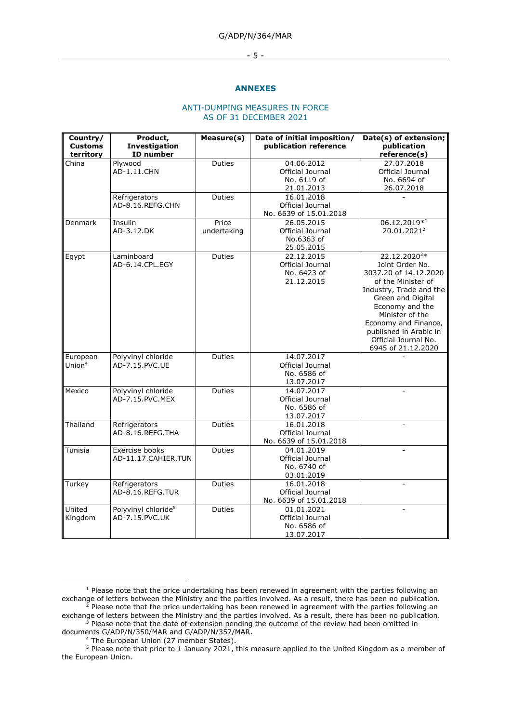### G/ADP/N/364/MAR

#### - 5 -

#### **ANNEXES**

### ANTI-DUMPING MEASURES IN FORCE AS OF 31 DECEMBER 2021

| Country/                        | Product,                        | Measure(s)    | Date of initial imposition/ | Date(s) of extension;    |
|---------------------------------|---------------------------------|---------------|-----------------------------|--------------------------|
| <b>Customs</b><br>Investigation |                                 |               | publication reference       | publication              |
| territory                       | ID number                       |               |                             | reference(s)             |
| China                           | Plywood                         | Duties        | 04.06.2012                  | 27.07.2018               |
|                                 | AD-1.11.CHN                     |               | Official Journal            | Official Journal         |
|                                 |                                 |               | No. 6119 of                 | No. 6694 of              |
|                                 |                                 |               | 21.01.2013                  | 26.07.2018               |
|                                 | Refrigerators                   | Duties        | 16.01.2018                  |                          |
|                                 | AD-8.16.REFG.CHN                |               | Official Journal            |                          |
|                                 |                                 |               | No. 6639 of 15.01.2018      |                          |
| Denmark                         | Insulin                         | Price         | 26.05.2015                  | 06.12.2019*1             |
|                                 | AD-3.12.DK                      | undertaking   | Official Journal            | 20.01.2021 <sup>2</sup>  |
|                                 |                                 |               | No.6363 of                  |                          |
|                                 |                                 |               | 25.05.2015                  |                          |
| Egypt                           | Laminboard                      | Duties        | 22.12.2015                  | 22.12.2020 <sup>3*</sup> |
|                                 | AD-6.14.CPL.EGY                 |               | Official Journal            | Joint Order No.          |
|                                 |                                 |               | No. 6423 of                 | 3037.20 of 14.12.2020    |
|                                 |                                 |               | 21.12.2015                  | of the Minister of       |
|                                 |                                 |               |                             | Industry, Trade and the  |
|                                 |                                 |               |                             | Green and Digital        |
|                                 |                                 |               |                             | Economy and the          |
|                                 |                                 |               |                             | Minister of the          |
|                                 |                                 |               |                             | Economy and Finance,     |
|                                 |                                 |               |                             | published in Arabic in   |
|                                 |                                 |               |                             | Official Journal No.     |
|                                 |                                 |               |                             | 6945 of 21.12.2020       |
| European                        | Polyvinyl chloride              | Duties        | 14.07.2017                  |                          |
| Union $4$                       | AD-7.15.PVC.UE                  |               | Official Journal            |                          |
|                                 |                                 |               | No. 6586 of                 |                          |
|                                 |                                 |               | 13.07.2017                  |                          |
| Mexico                          | Polyvinyl chloride              | Duties        | 14.07.2017                  |                          |
|                                 | AD-7.15.PVC.MEX                 |               | Official Journal            |                          |
|                                 |                                 |               | No. 6586 of                 |                          |
|                                 |                                 |               | 13.07.2017                  |                          |
| Thailand                        | Refrigerators                   | <b>Duties</b> | 16.01.2018                  |                          |
|                                 | AD-8.16.REFG.THA                |               | Official Journal            |                          |
|                                 |                                 |               | No. 6639 of 15.01.2018      |                          |
| Tunisia                         | Exercise books                  | Duties        | 04.01.2019                  |                          |
|                                 | AD-11.17.CAHIER.TUN             |               | Official Journal            |                          |
|                                 |                                 |               | No. 6740 of                 |                          |
|                                 |                                 |               | 03.01.2019                  |                          |
| Turkey                          | Refrigerators                   | Duties        | 16.01.2018                  |                          |
|                                 | AD-8.16.REFG.TUR                |               | Official Journal            |                          |
|                                 |                                 |               | No. 6639 of 15.01.2018      |                          |
| United                          | Polyvinyl chloride <sup>5</sup> | Duties        | 01.01.2021                  |                          |
| Kingdom                         | AD-7.15.PVC.UK                  |               | Official Journal            |                          |
|                                 |                                 |               | No. 6586 of                 |                          |
|                                 |                                 |               | 13.07.2017                  |                          |
|                                 |                                 |               |                             |                          |

 $1$  Please note that the price undertaking has been renewed in agreement with the parties following an exchange of letters between the Ministry and the parties involved. As a result, there has been no publication.  $^2$  Please note that the price undertaking has been renewed in agreement with the parties following an exchange of letters between the Ministry and the parties involved. As a result, there has been no publication.

 $3$  Please note that the date of extension pending the outcome of the review had been omitted in documents G/ADP/N/350/MAR and G/ADP/N/357/MAR.

<sup>&</sup>lt;sup>4</sup> The European Union (27 member States).

<sup>5</sup> Please note that prior to 1 January 2021, this measure applied to the United Kingdom as a member of the European Union.